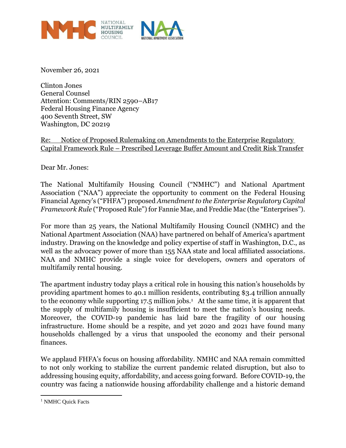

November 26, 2021

Clinton Jones General Counsel Attention: Comments/RIN 2590–AB17 Federal Housing Finance Agency 400 Seventh Street, SW Washington, DC 20219

Re: Notice of Proposed Rulemaking on Amendments to the Enterprise Regulatory Capital Framework Rule – Prescribed Leverage Buffer Amount and Credit Risk Transfer

Dear Mr. Jones:

The National Multifamily Housing Council ("NMHC") and National Apartment Association ("NAA") appreciate the opportunity to comment on the Federal Housing Financial Agency's ("FHFA") proposed *Amendment to the Enterprise Regulatory Capital Framework Rule* ("Proposed Rule") for Fannie Mae, and Freddie Mac (the "Enterprises").

For more than 25 years, the National Multifamily Housing Council (NMHC) and the National Apartment Association (NAA) have partnered on behalf of America's apartment industry. Drawing on the knowledge and policy expertise of staff in Washington, D.C., as well as the advocacy power of more than 155 NAA state and local affiliated associations. NAA and NMHC provide a single voice for developers, owners and operators of multifamily rental housing.

The apartment industry today plays a critical role in housing this nation's households by providing apartment homes to 40.1 million residents, contributing \$3.4 trillion annually to the economy while supporting 17.5 million jobs.<sup>1</sup> At the same time, it is apparent that the supply of multifamily housing is insufficient to meet the nation's housing needs. Moreover, the COVID-19 pandemic has laid bare the fragility of our housing infrastructure. Home should be a respite, and yet 2020 and 2021 have found many households challenged by a virus that unspooled the economy and their personal finances.

We applaud FHFA's focus on housing affordability. NMHC and NAA remain committed to not only working to stabilize the current pandemic related disruption, but also to addressing housing equity, affordability, and access going forward. Before COVID-19, the country was facing a nationwide housing affordability challenge and a historic demand

<sup>&</sup>lt;sup>1</sup> NMHC Quick Facts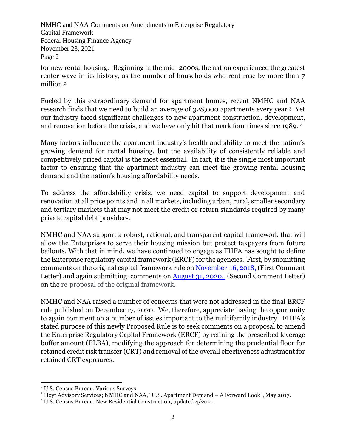for new rental housing. Beginning in the mid -2000s, the nation experienced the greatest renter wave in its history, as the number of households who rent rose by more than 7 million.<sup>2</sup>

research finds that we need to build an average of 328,000 apartments every year.<sup>3</sup> Yet Fueled by this extraordinary demand for apartment homes, recent NMHC and NAA our industry faced significant challenges to new apartment construction, development, and renovation before the crisis, and we have only hit that mark four times since 1989. <sup>4</sup>

Many factors influence the apartment industry's health and ability to meet the nation's growing demand for rental housing, but the availability of consistently reliable and competitively priced capital is the most essential. In fact, it is the single most important factor to ensuring that the apartment industry can meet the growing rental housing demand and the nation's housing affordability needs.

To address the affordability crisis, we need capital to support development and renovation at all price points and in all markets, including urban, rural, smaller secondary and tertiary markets that may not meet the credit or return standards required by many private capital debt providers.

NMHC and NAA support a robust, rational, and transparent capital framework that will allow the Enterprises to serve their housing mission but protect taxpayers from future bailouts. With that in mind, we have continued to engage as FHFA has sought to define the Enterprise regulatory capital framework (ERCF) for the agencies. First, by submitting comments on the original capital framework rule on [November 16, 2018,](https://www.nmhc.org/contentassets/6124463c5c504187b860cee8671d8242/enterprise-capital-requirements---comment-letter.pdf) (First Comment Letter) and again submitting comments on [August 31, 2020,](https://www.nmhc.org/globalassets/advocacy/comment-letters/2020/nmhc-naa-enterprise-capital-requirements-comment-letter-8.31.20.pdf) (Second Comment Letter) on the re-proposal of the original framework.

NMHC and NAA raised a number of concerns that were not addressed in the final ERCF rule published on December 17, 2020. We, therefore, appreciate having the opportunity to again comment on a number of issues important to the multifamily industry. FHFA's stated purpose of this newly Proposed Rule is to seek comments on a proposal to amend the Enterprise Regulatory Capital Framework (ERCF) by refining the prescribed leverage buffer amount (PLBA), modifying the approach for determining the prudential floor for retained credit risk transfer (CRT) and removal of the overall effectiveness adjustment for retained CRT exposures.

<sup>2</sup> U.S. Census Bureau, Various Surveys

<sup>3</sup> Hoyt Advisory Services; NMHC and NAA, "U.S. Apartment Demand – A Forward Look", May 2017.

<sup>4</sup> U.S. Census Bureau, New Residential Construction, updated 4/2021.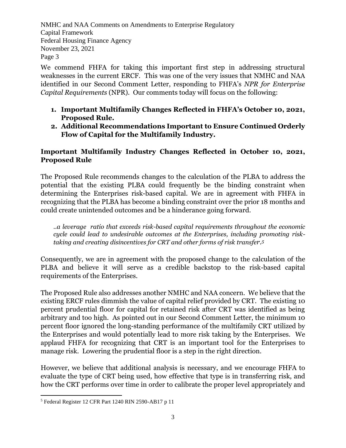We commend FHFA for taking this important first step in addressing structural weaknesses in the current ERCF. This was one of the very issues that NMHC and NAA identified in our Second Comment Letter, responding to FHFA's *NPR for Enterprise Capital Requirements* (NPR)*.* Our comments today will focus on the following:

- Page 3 **1. Important Multifamily Changes Reflected in FHFA's October 10, 2021, Proposed Rule.**
	- **2. Additional Recommendations Important to Ensure Continued Orderly Flow of Capital for the Multifamily Industry.**

## **Important Multifamily Industry Changes Reflected in October 10, 2021, Proposed Rule**

The Proposed Rule recommends changes to the calculation of the PLBA to address the potential that the existing PLBA could frequently be the binding constraint when determining the Enterprises risk-based capital. We are in agreement with FHFA in recognizing that the PLBA has become a binding constraint over the prior 18 months and could create unintended outcomes and be a hinderance going forward.

*..a leverage ratio that exceeds risk-based capital requirements throughout the economic cycle could lead to undesirable outcomes at the Enterprises, including promoting risktaking and creating disincentives for CRT and other forms of risk transfer. 5*

Consequently, we are in agreement with the proposed change to the calculation of the PLBA and believe it will serve as a credible backstop to the risk-based capital requirements of the Enterprises.

The Proposed Rule also addresses another NMHC and NAA concern. We believe that the existing ERCF rules dimmish the value of capital relief provided by CRT. The existing 10 percent prudential floor for capital for retained risk after CRT was identified as being arbitrary and too high. As pointed out in our Second Comment Letter, the minimum 10 percent floor ignored the long-standing performance of the multifamily CRT utilized by the Enterprises and would potentially lead to more risk taking by the Enterprises. We applaud FHFA for recognizing that CRT is an important tool for the Enterprises to manage risk. Lowering the prudential floor is a step in the right direction.

However, we believe that additional analysis is necessary, and we encourage FHFA to evaluate the type of CRT being used, how effective that type is in transferring risk, and how the CRT performs over time in order to calibrate the proper level appropriately and

<sup>5</sup> Federal Register 12 CFR Part 1240 RIN 2590-AB17 p 11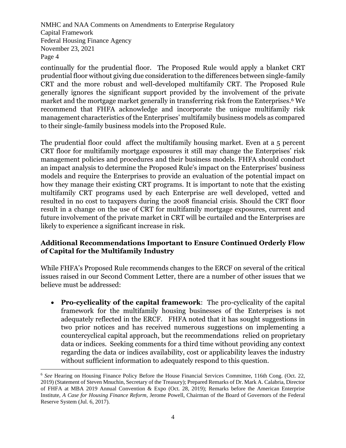market and the mortgage market generally in transferring risk from the Enterprises. We<br>recommend that FHFA acknowledge and incorporate the unique multifamily risk continually for the prudential floor. The Proposed Rule would apply a blanket CRT prudential floor without giving due consideration to the differences between single-family CRT and the more robust and well-developed multifamily CRT. The Proposed Rule generally ignores the significant support provided by the involvement of the private market and the mortgage market generally in transferring risk from the Enterprises.<sup>6</sup> We management characteristics of the Enterprises' multifamily business models as compared to their single-family business models into the Proposed Rule.

The prudential floor could affect the multifamily housing market. Even at a 5 percent CRT floor for multifamily mortgage exposures it still may change the Enterprises' risk management policies and procedures and their business models. FHFA should conduct an impact analysis to determine the Proposed Rule's impact on the Enterprises' business models and require the Enterprises to provide an evaluation of the potential impact on how they manage their existing CRT programs. It is important to note that the existing multifamily CRT programs used by each Enterprise are well developed, vetted and resulted in no cost to taxpayers during the 2008 financial crisis. Should the CRT floor result in a change on the use of CRT for multifamily mortgage exposures, current and future involvement of the private market in CRT will be curtailed and the Enterprises are likely to experience a significant increase in risk.

## **Additional Recommendations Important to Ensure Continued Orderly Flow of Capital for the Multifamily Industry**

While FHFA's Proposed Rule recommends changes to the ERCF on several of the critical issues raised in our Second Comment Letter, there are a number of other issues that we believe must be addressed:

• **Pro-cyclicality of the capital framework**: The pro-cyclicality of the capital framework for the multifamily housing businesses of the Enterprises is not adequately reflected in the ERCF. FHFA noted that it has sought suggestions in two prior notices and has received numerous suggestions on implementing a countercyclical capital approach, but the recommendations relied on proprietary data or indices. Seeking comments for a third time without providing any context regarding the data or indices availability, cost or applicability leaves the industry without sufficient information to adequately respond to this question.

<sup>6</sup> *See* Hearing on Housing Finance Policy Before the House Financial Services Committee, 116th Cong. (Oct. 22, 2019) (Statement of Steven Mnuchin, Secretary of the Treasury); Prepared Remarks of Dr. Mark A. Calabria, Director of FHFA at MBA 2019 Annual Convention & Expo (Oct. 28, 2019); Remarks before the American Enterprise Institute, *A Case for Housing Finance Reform,* Jerome Powell, Chairman of the Board of Governors of the Federal Reserve System (Jul. 6, 2017).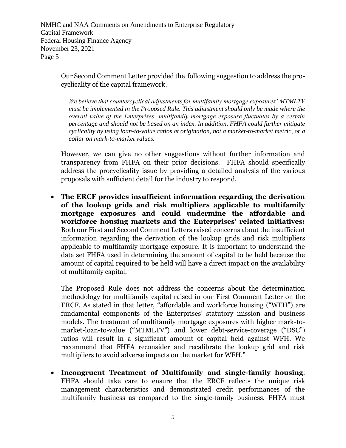> Our Second Comment Letter provided the following suggestion to address the procyclicality of the capital framework.

*We believe that countercyclical adjustments for multifamily mortgage exposures' MTMLTV must be implemented in the Proposed Rule. This adjustment should only be made where the overall value of the Enterprises' multifamily mortgage exposure fluctuates by a certain percentage and should not be based on an index. In addition, FHFA could further mitigate cyclicality by using loan-to-value ratios at origination, not a market-to-market metric, or a collar on mark-to-market values.*

However, we can give no other suggestions without further information and transparency from FHFA on their prior decisions. FHFA should specifically address the procyclicality issue by providing a detailed analysis of the various proposals with sufficient detail for the industry to respond.

• **The ERCF provides insufficient information regarding the derivation of the lookup grids and risk multipliers applicable to multifamily mortgage exposures and could undermine the affordable and workforce housing markets and the Enterprises' related initiatives:** Both our First and Second Comment Letters raised concerns about the insufficient information regarding the derivation of the lookup grids and risk multipliers applicable to multifamily mortgage exposure. It is important to understand the data set FHFA used in determining the amount of capital to be held because the amount of capital required to be held will have a direct impact on the availability of multifamily capital.

The Proposed Rule does not address the concerns about the determination methodology for multifamily capital raised in our First Comment Letter on the ERCF. As stated in that letter, "affordable and workforce housing ("WFH") are fundamental components of the Enterprises' statutory mission and business models. The treatment of multifamily mortgage exposures with higher mark-tomarket-loan-to-value ("MTMLTV") and lower debt-service-coverage ("DSC") ratios will result in a significant amount of capital held against WFH. We recommend that FHFA reconsider and recalibrate the lookup grid and risk multipliers to avoid adverse impacts on the market for WFH."

• **Incongruent Treatment of Multifamily and single-family housing**: FHFA should take care to ensure that the ERCF reflects the unique risk management characteristics and demonstrated credit performances of the multifamily business as compared to the single-family business. FHFA must